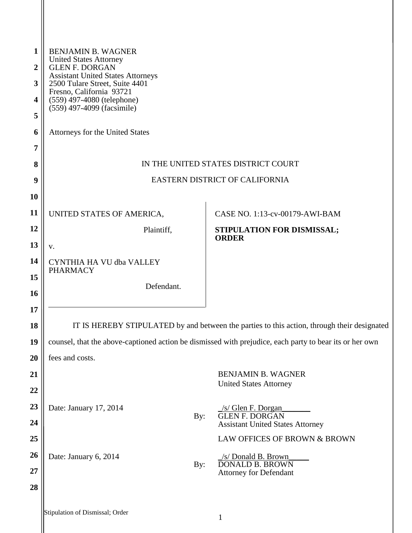| 1<br>2<br>3<br>4<br>5<br>6<br>7<br>8<br>9 | <b>BENJAMIN B. WAGNER</b><br><b>United States Attorney</b><br><b>GLEN F. DORGAN</b><br><b>Assistant United States Attorneys</b><br>2500 Tulare Street, Suite 4401<br>Fresno, California 93721<br>(559) 497-4080 (telephone)<br>(559) 497-4099 (facsimile)<br>Attorneys for the United States<br>IN THE UNITED STATES DISTRICT COURT<br>EASTERN DISTRICT OF CALIFORNIA |
|-------------------------------------------|-----------------------------------------------------------------------------------------------------------------------------------------------------------------------------------------------------------------------------------------------------------------------------------------------------------------------------------------------------------------------|
| <b>10</b>                                 |                                                                                                                                                                                                                                                                                                                                                                       |
| 11                                        | UNITED STATES OF AMERICA,<br>CASE NO. 1:13-cv-00179-AWI-BAM                                                                                                                                                                                                                                                                                                           |
| 12                                        | Plaintiff,<br>STIPULATION FOR DISMISSAL;<br><b>ORDER</b>                                                                                                                                                                                                                                                                                                              |
| 13<br>14                                  | V.                                                                                                                                                                                                                                                                                                                                                                    |
| 15                                        | CYNTHIA HA VU dba VALLEY<br><b>PHARMACY</b>                                                                                                                                                                                                                                                                                                                           |
| <b>16</b>                                 | Defendant.                                                                                                                                                                                                                                                                                                                                                            |
| 17                                        |                                                                                                                                                                                                                                                                                                                                                                       |
| 18                                        | IT IS HEREBY STIPULATED by and between the parties to this action, through their designated                                                                                                                                                                                                                                                                           |
| 19                                        | counsel, that the above-captioned action be dismissed with prejudice, each party to bear its or her own                                                                                                                                                                                                                                                               |
| 20                                        | fees and costs.                                                                                                                                                                                                                                                                                                                                                       |
| 21                                        | <b>BENJAMIN B. WAGNER</b>                                                                                                                                                                                                                                                                                                                                             |
| 22                                        | <b>United States Attorney</b>                                                                                                                                                                                                                                                                                                                                         |
| 23                                        | Date: January 17, 2014<br>/s/ Glen F. Dorgan                                                                                                                                                                                                                                                                                                                          |
| 24                                        | <b>GLEN F. DORGAN</b><br>By:<br><b>Assistant United States Attorney</b>                                                                                                                                                                                                                                                                                               |
| 25                                        | LAW OFFICES OF BROWN & BROWN                                                                                                                                                                                                                                                                                                                                          |
| 26                                        | Date: January 6, 2014<br>/s/ Donald B. Brown                                                                                                                                                                                                                                                                                                                          |
| 27                                        | <b>DONALD B. BROWN</b><br>By:<br>Attorney for Defendant                                                                                                                                                                                                                                                                                                               |
| 28                                        |                                                                                                                                                                                                                                                                                                                                                                       |
|                                           | Stipulation of Dismissal; Order<br>$\mathbf{1}$                                                                                                                                                                                                                                                                                                                       |